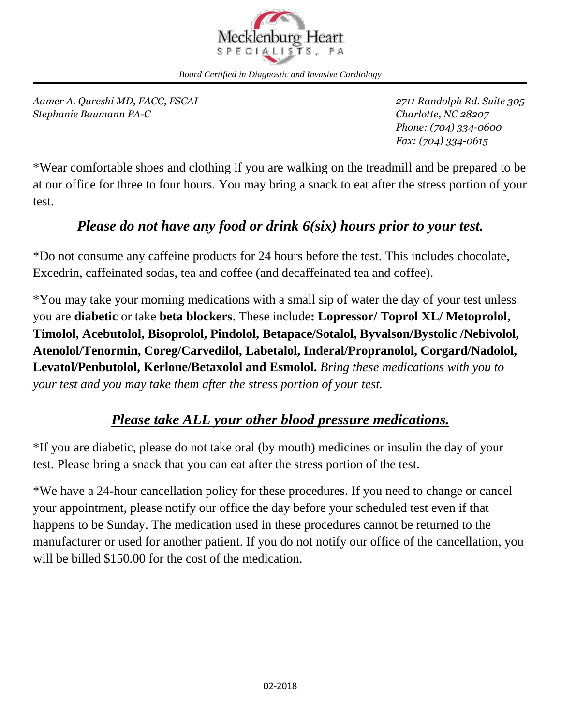

*Board Certified in Diagnostic and Invasive Cardiology*

*Aamer A. Qureshi MD, FACC, FSCAI 2711 Randolph Rd. Suite 305 Stephanie Baumann PA-C Charlotte, NC 28207*

*Phone: (704) 334-0600 Fax: (704) 334-0615*

\*Wear comfortable shoes and clothing if you are walking on the treadmill and be prepared to be at our office for three to four hours. You may bring a snack to eat after the stress portion of your test.

#### *Please do not have any food or drink 6(six) hours prior to your test.*

\*Do not consume any caffeine products for 24 hours before the test. This includes chocolate, Excedrin, caffeinated sodas, tea and coffee (and decaffeinated tea and coffee).

\*You may take your morning medications with a small sip of water the day of your test unless you are **diabetic** or take **beta blockers**. These include**: Lopressor/ Toprol XL/ Metoprolol, Timolol, Acebutolol, Bisoprolol, Pindolol, Betapace/Sotalol, Byvalson/Bystolic /Nebivolol, Atenolol/Tenormin, Coreg/Carvedilol, Labetalol, Inderal/Propranolol, Corgard/Nadolol, Levatol/Penbutolol, Kerlone/Betaxolol and Esmolol.** *Bring these medications with you to your test and you may take them after the stress portion of your test.*

### *Please take ALL your other blood pressure medications.*

\*If you are diabetic, please do not take oral (by mouth) medicines or insulin the day of your test. Please bring a snack that you can eat after the stress portion of the test.

\*We have a 24-hour cancellation policy for these procedures. If you need to change or cancel your appointment, please notify our office the day before your scheduled test even if that happens to be Sunday. The medication used in these procedures cannot be returned to the manufacturer or used for another patient. If you do not notify our office of the cancellation, you will be billed \$150.00 for the cost of the medication.